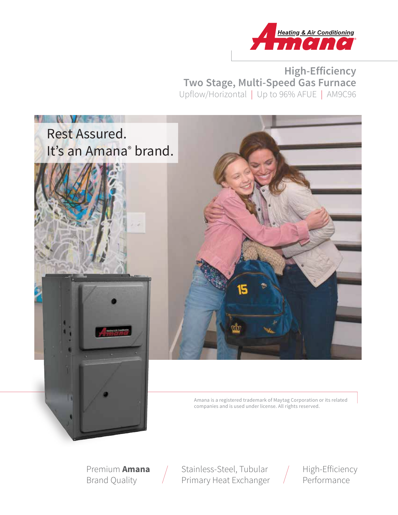

**High-Efficiency Two Stage, Multi-Speed Gas Furnace** Upflow/Horizontal | Up to 96% AFUE | AM9C96



Premium **Amana** Brand Quality

Stainless-Steel, Tubular Primary Heat Exchanger

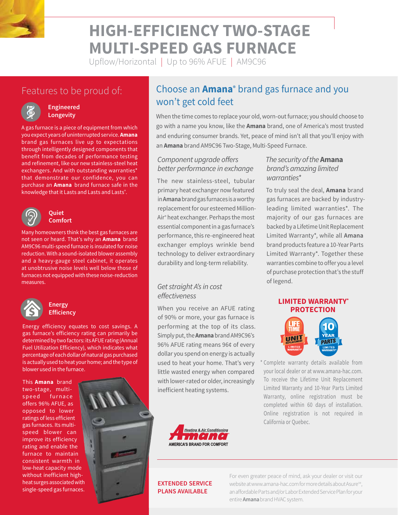

# **HIGH-EFFICIENCY TWO-STAGE MULTI-SPEED GAS FURNACE**

Upflow/Horizontal | Up to 96% AFUE | AM9C96

# Features to be proud of:



#### **Engineered Longevity**

A gas furnace is a piece of equipment from which you expect years of uninterrupted service. **Amana** brand gas furnaces live up to expectations through intelligently designed components that benefit from decades of performance testing and refinement, like our new stainless-steel heat exchangers. And with outstanding warranties\* that demonstrate our confidence, you can purchase an **Amana** brand furnace safe in the knowledge that it Lasts and Lasts and Lasts® .



#### **Quiet Comfort**

Many homeowners think the best gas furnaces are not seen or heard. That's why an **Amana** brand AM9C96 multi-speed furnace is insulated for noise reduction. With a sound-isolated blower assembly and a heavy-gauge steel cabinet, it operates at unobtrusive noise levels well below those of furnaces not equipped with these noise-reduction measures.



#### **Energy Efficiency**

Energy efficiency equates to cost savings. A gas furnace's efficiency rating can primarily be determined by two factors: its AFUE rating (Annual Fuel Utilization Efficiency), which indicates what percentage of each dollar of natural gas purchased is actually used to heat your home; and the type of blower used in the furnace.

This **Amana** brand two-stage, multispeed furnace offers 96% AFUE, as opposed to lower ratings of less efficient gas furnaces. Its multispeed blower can improve its efficiency rating and enable the furnace to maintain consistent warmth in low-heat capacity mode without inefficient highheat surges associated with single-speed gas furnaces.



# Choose an **Amana®** brand gas furnace and you won't get cold feet

When the time comes to replace your old, worn-out furnace; you should choose to go with a name you know, like the **Amana** brand, one of America's most trusted and enduring consumer brands. Yet, peace of mind isn't all that you'll enjoy with an **Amana** brand AM9C96 Two-Stage, Multi-Speed Furnace.

#### *Component upgrade offers better performance in exchange*

The new stainless-steel, tubular primary heat exchanger now featured in **Amana** brand gas furnaces is a worthy replacement for our esteemed Million-Air® heat exchanger. Perhaps the most essential component in a gas furnace's performance, this re-engineered heat exchanger employs wrinkle bend technology to deliver extraordinary durability and long-term reliability.

### *Get straight A's in cost effectiveness*

When you receive an AFUE rating of 90% or more, your gas furnace is performing at the top of its class. Simply put, the **Amana** brand AM9C96's 96% AFUE rating means 96¢ of every dollar you spend on energy is actually used to heat your home. That's very little wasted energy when compared with lower-rated or older, increasingly inefficient heating systems.



### *The security of the* **Amana** *brand's amazing limited warranties\**

To truly seal the deal, **Amana** brand gas furnaces are backed by industryleading limited warranties\*. The majority of our gas furnaces are backed by a Lifetime Unit Replacement Limited Warranty\*, while all **Amana** brand products feature a 10-Year Parts Limited Warranty\*. Together these warranties combine to offer you a level of purchase protection that's the stuff of legend.

#### **LIMITED WARRANTY\* PROTECTION**



\* Complete warranty details available from your local dealer or at www.amana-hac.com. To receive the Lifetime Unit Replacement Limited Warranty and 10-Year Parts Limited Warranty, online registration must be completed within 60 days of installation. Online registration is not required in California or Quebec.

#### **EXTENDED SERVICE PLANS AVAILABLE**

For even greater peace of mind, ask your dealer or visit our website at www.amana-hac.com for more details about Asure<sup>5M</sup>, an affordable Parts and/or Labor Extended Service Plan for your entire **Amana**brand HVAC system.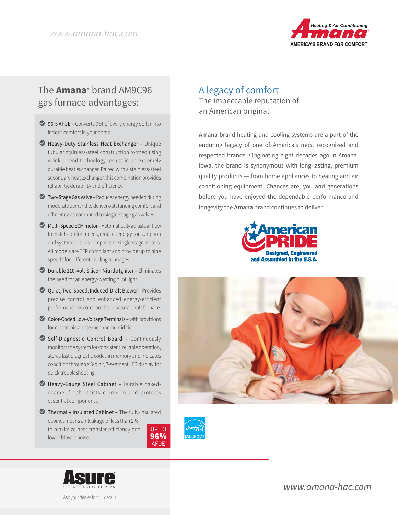

## The **Amana®** brand AM9C96 gas furnace advantages:

- ◯ 96% AFUE Converts 96¢ of every energy dollar into indoor comfort in your home.
- L Heavy-Duty Stainless Heat Exchanger Unique tubular stainless-steel construction formed using wrinkle bend technology results in an extremely durable heat exchanger. Paired with a stainless-steel secondary heat exchanger, this combination provides reliability, durability and efficiency.
- $\bullet$  Two-Stage Gas Valve Reduces energy needed during moderate demand to deliver outstanding comfort and efficiency as compared to single-stage gas valves.
- $\bullet$  Multi-Speed ECM motor Automatically adjusts airflow to match comfort needs, reduces energy consumption and system noise as compared to single-stage motors. All models are FER compliant and provide up to nine speeds for different cooling tonnages.
- L Durable 110-Volt Silicon Nitride Igniter Eliminates the need for an energy-wasting pilot light.
- ◯ Quiet, Two-Speed, Induced-Draft Blower Provides precise control and enhanced energy-efficient performance as compared to a natural draft furnace.
- C Color-Coded Low-Voltage Terminals with provisions for electronic air cleaner and humidifier
- L Self-Diagnostic Control Board Continuously monitors the system for consistent, reliable operation, stores last diagnostic codes in memory and indicates condition through a 3-digit, 7-segment LED display for quick troubleshooting.
- L Heavy-Gauge Steel Cabinet Durable bakedenamel finish resists corrosion and protects essential components.
- L Thermally Insulated Cabinet The fully-insulated cabinet means air leakage of less than 2% to maximize heat transfer efficiency and lower blower noise. UP TO 96%





Ask your dealer for full details.

### A legacy of comfort The impeccable reputation of an American original

**Amana** brand heating and cooling systems are a part of the enduring legacy of one of America's most recognized and respected brands. Originating eight decades ago in Amana, Iowa, the brand is synonymous with long-lasting, premium quality products — from home appliances to heating and air conditioning equipment. Chances are, you and generations before you have enjoyed the dependable performance and longevity the **Amana** brand continues to deliver.